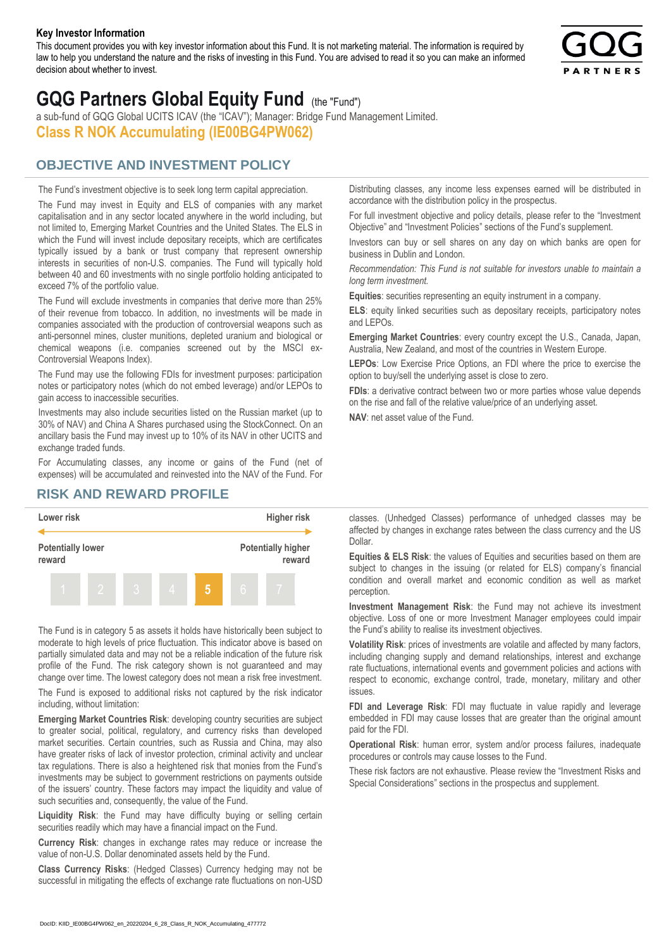#### **Key Investor Information**

This document provides you with key investor information about this Fund. It is not marketing material. The information is required by law to help you understand the nature and the risks of investing in this Fund. You are advised to read it so you can make an informed decision about whether to invest.



# **GQG Partners Global Equity Fund** (the "Fund")

a sub-fund of GQG Global UCITS ICAV (the "ICAV"); Manager: Bridge Fund Management Limited. **Class R NOK Accumulating (IE00BG4PW062)**

## **OBJECTIVE AND INVESTMENT POLICY**

The Fund's investment objective is to seek long term capital appreciation. The Fund may invest in Equity and ELS of companies with any market capitalisation and in any sector located anywhere in the world including, but not limited to, Emerging Market Countries and the United States. The ELS in which the Fund will invest include depositary receipts, which are certificates typically issued by a bank or trust company that represent ownership interests in securities of non-U.S. companies. The Fund will typically hold between 40 and 60 investments with no single portfolio holding anticipated to exceed 7% of the portfolio value.

The Fund will exclude investments in companies that derive more than 25% of their revenue from tobacco. In addition, no investments will be made in companies associated with the production of controversial weapons such as anti-personnel mines, cluster munitions, depleted uranium and biological or chemical weapons (i.e. companies screened out by the MSCI ex-Controversial Weapons Index).

The Fund may use the following FDIs for investment purposes: participation notes or participatory notes (which do not embed leverage) and/or LEPOs to gain access to inaccessible securities.

Investments may also include securities listed on the Russian market (up to 30% of NAV) and China A Shares purchased using the StockConnect. On an ancillary basis the Fund may invest up to 10% of its NAV in other UCITS and exchange traded funds.

For Accumulating classes, any income or gains of the Fund (net of expenses) will be accumulated and reinvested into the NAV of the Fund. For Distributing classes, any income less expenses earned will be distributed in accordance with the distribution policy in the prospectus.

For full investment objective and policy details, please refer to the "Investment Objective" and "Investment Policies" sections of the Fund's supplement.

Investors can buy or sell shares on any day on which banks are open for business in Dublin and London.

*Recommendation: This Fund is not suitable for investors unable to maintain a long term investment.*

**Equities**: securities representing an equity instrument in a company.

**ELS**: equity linked securities such as depositary receipts, participatory notes and LEPOs.

**Emerging Market Countries**: every country except the U.S., Canada, Japan, Australia, New Zealand, and most of the countries in Western Europe.

**LEPOs**: Low Exercise Price Options, an FDI where the price to exercise the option to buy/sell the underlying asset is close to zero.

**FDIs**: a derivative contract between two or more parties whose value depends on the rise and fall of the relative value/price of an underlying asset.

**NAV**: net asset value of the Fund.

### **RISK AND REWARD PROFILE**



The Fund is in category 5 as assets it holds have historically been subject to moderate to high levels of price fluctuation. This indicator above is based on partially simulated data and may not be a reliable indication of the future risk profile of the Fund. The risk category shown is not guaranteed and may change over time. The lowest category does not mean a risk free investment.

The Fund is exposed to additional risks not captured by the risk indicator including, without limitation:

**Emerging Market Countries Risk**: developing country securities are subject to greater social, political, regulatory, and currency risks than developed market securities. Certain countries, such as Russia and China, may also have greater risks of lack of investor protection, criminal activity and unclear tax regulations. There is also a heightened risk that monies from the Fund's investments may be subject to government restrictions on payments outside of the issuers' country. These factors may impact the liquidity and value of such securities and, consequently, the value of the Fund.

**Liquidity Risk**: the Fund may have difficulty buying or selling certain securities readily which may have a financial impact on the Fund.

**Currency Risk**: changes in exchange rates may reduce or increase the value of non-U.S. Dollar denominated assets held by the Fund.

**Class Currency Risks**: (Hedged Classes) Currency hedging may not be successful in mitigating the effects of exchange rate fluctuations on non-USD classes. (Unhedged Classes) performance of unhedged classes may be affected by changes in exchange rates between the class currency and the US Dollar.

**Equities & ELS Risk**: the values of Equities and securities based on them are subject to changes in the issuing (or related for ELS) company's financial condition and overall market and economic condition as well as market perception.

**Investment Management Risk**: the Fund may not achieve its investment objective. Loss of one or more Investment Manager employees could impair the Fund's ability to realise its investment objectives.

**Volatility Risk**: prices of investments are volatile and affected by many factors, including changing supply and demand relationships, interest and exchange rate fluctuations, international events and government policies and actions with respect to economic, exchange control, trade, monetary, military and other issues.

**FDI and Leverage Risk**: FDI may fluctuate in value rapidly and leverage embedded in FDI may cause losses that are greater than the original amount paid for the FDI.

**Operational Risk**: human error, system and/or process failures, inadequate procedures or controls may cause losses to the Fund.

These risk factors are not exhaustive. Please review the "Investment Risks and Special Considerations" sections in the prospectus and supplement.